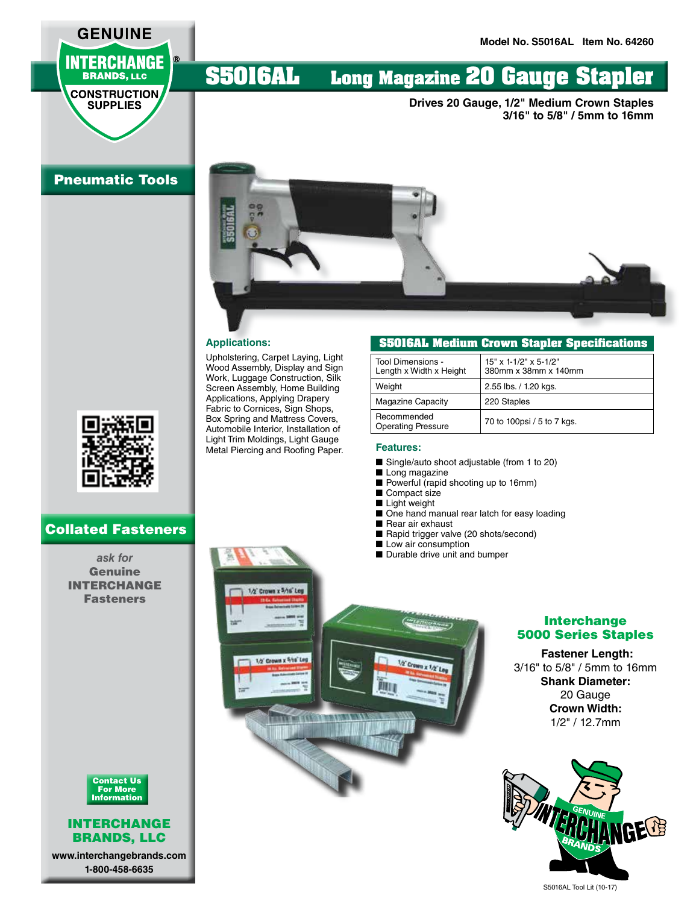## **GENUINE INTERCHANGE BRANDS, LLC**

**CONSTRUCTION SUPPLIES** 

### Pneumatic Tools



### Collated Fasteners

*ask for*  Genuine INTERCHANGE Fasteners



#### INTERCHANGE BRANDS, LLC

**www.interchangebrands.com 1-800-458-6635**

# **S5016AL Long Magazine 20 Gauge Stapler**

**Drives 20 Gauge, 1/2" Medium Crown Staples 3/16" to 5/8" / 5mm to 16mm**



Upholstering, Carpet Laying, Light Wood Assembly, Display and Sign Work, Luggage Construction, Silk Screen Assembly, Home Building Applications, Applying Drapery Fabric to Cornices, Sign Shops, Box Spring and Mattress Covers, Automobile Interior, Installation of Light Trim Moldings, Light Gauge Metal Piercing and Roofing Paper.

1/2' Crown x 5/16' Leg

1/2' Crown x 5/16' Leg

Ħ

**UT AN ESSAY** 

#### **S5016AL Medium Crown Stapler Specifications**

| Tool Dimensions -<br>Length x Width x Height | 15" x 1-1/2" x 5-1/2"<br>380mm x 38mm x 140mm |
|----------------------------------------------|-----------------------------------------------|
| Weight                                       | 2.55 lbs. / 1.20 kgs.                         |
| <b>Magazine Capacity</b>                     | 220 Staples                                   |
| Recommended<br><b>Operating Pressure</b>     | 70 to 100psi / 5 to 7 kgs.                    |

#### **Features:**

- Single/auto shoot adjustable (from 1 to 20)
- Long magazine
- Powerful (rapid shooting up to 16mm)
- Compact size
- Light weight
- One hand manual rear latch for easy loading
- Rear air exhaust
- Rapid trigger valve (20 shots/second)
- Low air consumption

1/2" Crown x 1/2" Leg

■ Durable drive unit and bumper

#### Interchange 5000 Series Staples

#### **Fastener Length:**

3/16" to 5/8" / 5mm to 16mm **Shank Diameter:** 20 Gauge **Crown Width:** 1/2" / 12.7mm